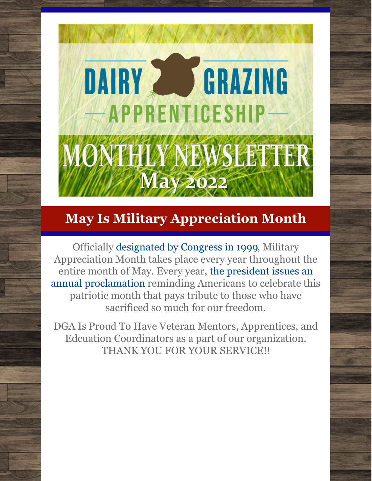# DAIRY 2 GRAZING -APPRENTICESHIP-ONTHLY NEWSLETTER **May 2022**

# **May Is Military Appreciation Month**

Officially [designated](https://www.congress.gov/bill/106th-congress/senate-resolution/33/text) by Congress in 1999, Military Appreciation Month takes place every year throughout the entire month of May. Every year, the president issues an annual [proclamation](https://www.military.com/military-appreciation-month) reminding Americans to celebrate this patriotic month that pays tribute to those who have sacrificed so much for our freedom.

DGA Is Proud To Have Veteran Mentors, Apprentices, and Edcuation Coordinators as a part of our organization. THANK YOU FOR YOUR SERVICE!!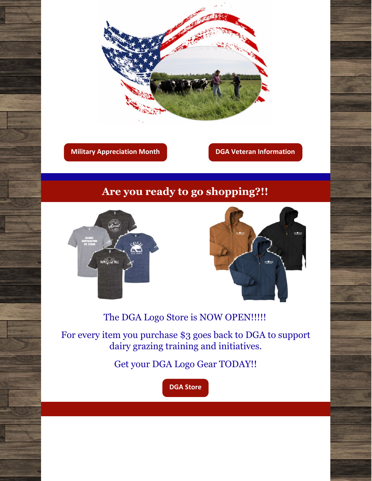

**Military [Appreciation](https://www.uso.org/stories/2699-what-is-military-appreciation-month#:~:text=Officially designated by Congress in,so much for our freedom.) Month DGA Veteran [Information](https://www.dga-national.org/files/media-kit/DGA_Vets-Brochure-FINAL.pdf)**

### **Are you ready to go shopping?!!**





The DGA Logo Store is NOW OPEN!!!!!

For every item you purchase \$3 goes back to DGA to support dairy grazing training and initiatives.

Get your DGA Logo Gear TODAY!!

**DGA [Store](https://www.dga-national.org/donate)**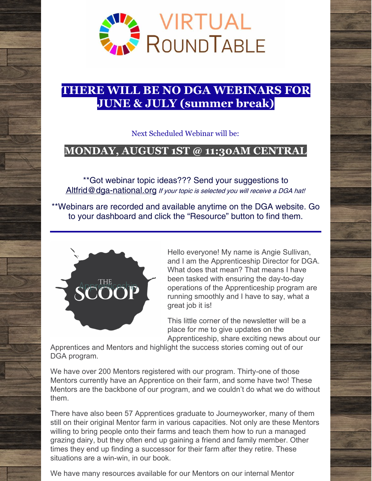

### **THERE WILL BE NO DGA WEBINARS FOR JUNE & JULY (summer break)**

Next Scheduled Webinar will be:

### **MONDAY, AUGUST 1ST @ 11:30AM CENTRAL**

\*\*Got webinar topic ideas??? Send your suggestions to [Altfrid@dga-national.org](mailto:Altfrid@dga-national.org) If your topic is selected you will receive a DGA hat!

\*\*Webinars are recorded and available anytime on the DGA website. Go to your dashboard and click the "Resource" button to find them.



Hello everyone! My name is Angie Sullivan, and I am the Apprenticeship Director for DGA. What does that mean? That means I have been tasked with ensuring the day-to-day operations of the Apprenticeship program are running smoothly and I have to say, what a great job it is!

This little corner of the newsletter will be a place for me to give updates on the Apprenticeship, share exciting news about our

Apprentices and Mentors and highlight the success stories coming out of our DGA program.

We have over 200 Mentors registered with our program. Thirty-one of those Mentors currently have an Apprentice on their farm, and some have two! These Mentors are the backbone of our program, and we couldn't do what we do without them.

There have also been 57 Apprentices graduate to Journeyworker, many of them still on their original Mentor farm in various capacities. Not only are these Mentors willing to bring people onto their farms and teach them how to run a managed grazing dairy, but they often end up gaining a friend and family member. Other times they end up finding a successor for their farm after they retire. These situations are a win-win, in our book.

We have many resources available for our Mentors on our internal Mentor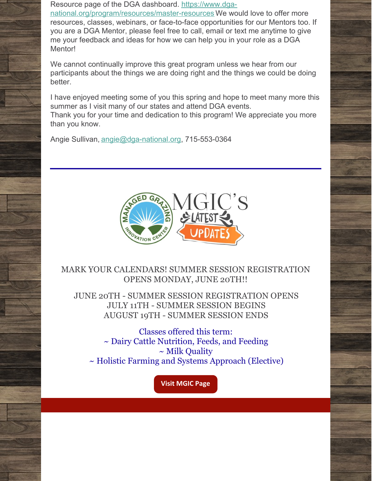Resource page of the DGA dashboard. https://www.dga-

[national.org/program/resources/master-resources](https://www.dga-national.org/program/resources/master-resources) We would love to offer more resources, classes, webinars, or face-to-face opportunities for our Mentors too. If you are a DGA Mentor, please feel free to call, email or text me anytime to give me your feedback and ideas for how we can help you in your role as a DGA Mentor!

We cannot continually improve this great program unless we hear from our participants about the things we are doing right and the things we could be doing better.

I have enjoyed meeting some of you this spring and hope to meet many more this summer as I visit many of our states and attend DGA events.

Thank you for your time and dedication to this program! We appreciate you more than you know.

Angie Sullivan, [angie@dga-national.org](mailto:angie@dga-national.org), 715-553-0364



### MARK YOUR CALENDARS! SUMMER SESSION REGISTRATION OPENS MONDAY, JUNE 20TH!!

JUNE 20TH - SUMMER SESSION REGISTRATION OPENS JULY 11TH - SUMMER SESSION BEGINS AUGUST 19TH - SUMMER SESSION ENDS

Classes offered this term: ~ Dairy Cattle Nutrition, Feeds, and Feeding ~ Milk Quality ~ Holistic Farming and Systems Approach (Elective)

**Visit [MGIC](https://www.dga-national.org/mgic) Page**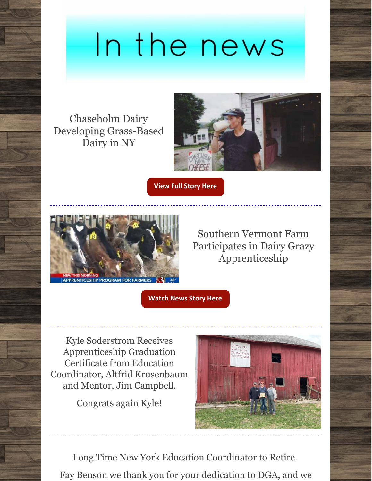# In the news

Chaseholm Dairy Developing Grass-Based Dairy in NY



**View Full [Story](https://www.dga-national.org/news/chaseholm-farm-developing-a-grass-based-dairy-in-new-york) Here**



Southern Vermont Farm Participates in Dairy Grazy Apprenticeship

**[Watch](https://www.dga-national.org/news/southern-vermont-farm-participates-in-national-dga-apprenticeship) News Story Here**

Kyle Soderstrom Receives Apprenticeship Graduation Certificate from Education Coordinator, Altfrid Krusenbaum and Mentor, Jim Campbell.

Congrats again Kyle!



Long Time New York Education Coordinator to Retire. Fay Benson we thank you for your dedication to DGA, and we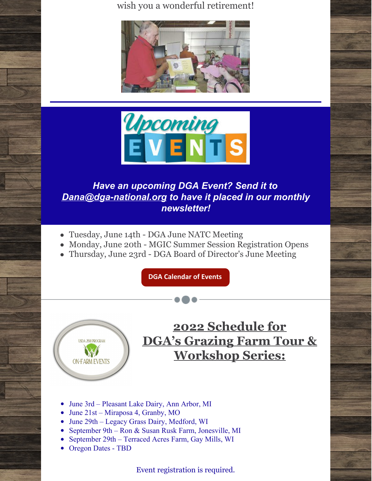wish you a wonderful retirement!





### *Have an upcoming DGA Event? Send it to [Dana@dga-national.org](mailto:Dana@dga-national.org) to have it placed in our monthly newsletter!*

- Tuesday, June 14th DGA June NATC Meeting
- Monday, June 20th MGIC Summer Session Registration Opens
- Thursday, June 23rd DGA Board of Director's June Meeting

**DGA [Calendar](https://www.dga-national.org/calendar) of Events**



# **2022 Schedule for DGA's Grazing Farm Tour & Workshop Series:**

- June 3rd Pleasant Lake Dairy, Ann Arbor, MI
- June 21st Miraposa 4, Granby, MO
- June 29th Legacy Grass Dairy, Medford, WI
- September 9th Ron & Susan Rusk Farm, Jonesville, MI
- September 29th Terraced Acres Farm, Gay Mills, WI
- Oregon Dates TBD

Event registration is required.